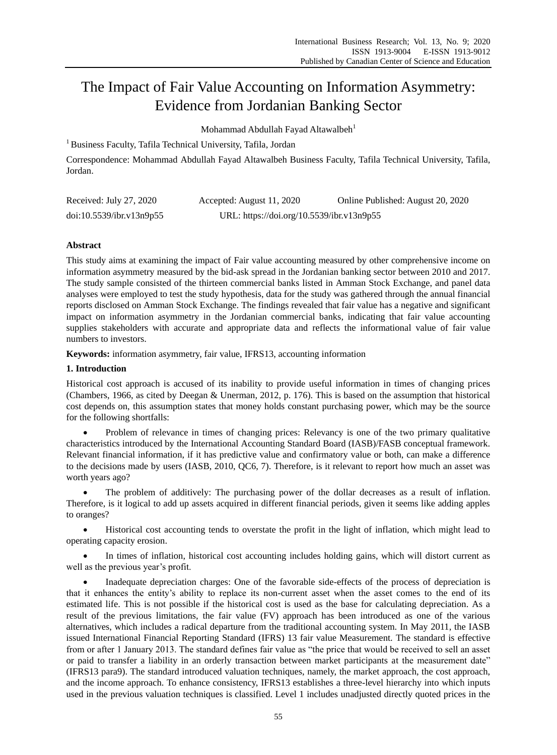# The Impact of Fair Value Accounting on Information Asymmetry: Evidence from Jordanian Banking Sector

Mohammad Abdullah Fayad Altawalbeh<sup>1</sup>

<sup>1</sup> Business Faculty, Tafila Technical University, Tafila, Jordan

Correspondence: Mohammad Abdullah Fayad Altawalbeh Business Faculty, Tafila Technical University, Tafila, Jordan.

| Received: July 27, 2020  | Accepted: August 11, 2020                 | Online Published: August 20, 2020 |
|--------------------------|-------------------------------------------|-----------------------------------|
| doi:10.5539/ibr.v13n9p55 | URL: https://doi.org/10.5539/ibr.v13n9p55 |                                   |

# **Abstract**

This study aims at examining the impact of Fair value accounting measured by other comprehensive income on information asymmetry measured by the bid-ask spread in the Jordanian banking sector between 2010 and 2017. The study sample consisted of the thirteen commercial banks listed in Amman Stock Exchange, and panel data analyses were employed to test the study hypothesis, data for the study was gathered through the annual financial reports disclosed on Amman Stock Exchange. The findings revealed that fair value has a negative and significant impact on information asymmetry in the Jordanian commercial banks, indicating that fair value accounting supplies stakeholders with accurate and appropriate data and reflects the informational value of fair value numbers to investors.

**Keywords:** information asymmetry, fair value, IFRS13, accounting information

# **1. Introduction**

Historical cost approach is accused of its inability to provide useful information in times of changing prices (Chambers, 1966, as cited by Deegan & Unerman, 2012, p. 176). This is based on the assumption that historical cost depends on, this assumption states that money holds constant purchasing power, which may be the source for the following shortfalls:

 Problem of relevance in times of changing prices: Relevancy is one of the two primary qualitative characteristics introduced by the International Accounting Standard Board (IASB)/FASB conceptual framework. Relevant financial information, if it has predictive value and confirmatory value or both, can make a difference to the decisions made by users (IASB, 2010, QC6, 7). Therefore, is it relevant to report how much an asset was worth years ago?

 The problem of additively: The purchasing power of the dollar decreases as a result of inflation. Therefore, is it logical to add up assets acquired in different financial periods, given it seems like adding apples to oranges?

 Historical cost accounting tends to overstate the profit in the light of inflation, which might lead to operating capacity erosion.

 In times of inflation, historical cost accounting includes holding gains, which will distort current as well as the previous year's profit.

 Inadequate depreciation charges: One of the favorable side-effects of the process of depreciation is that it enhances the entity's ability to replace its non-current asset when the asset comes to the end of its estimated life. This is not possible if the historical cost is used as the base for calculating depreciation. As a result of the previous limitations, the fair value (FV) approach has been introduced as one of the various alternatives, which includes a radical departure from the traditional accounting system. In May 2011, the IASB issued International Financial Reporting Standard (IFRS) 13 fair value Measurement. The standard is effective from or after 1 January 2013. The standard defines fair value as "the price that would be received to sell an asset or paid to transfer a liability in an orderly transaction between market participants at the measurement date" (IFRS13 para9). The standard introduced valuation techniques, namely, the market approach, the cost approach, and the income approach. To enhance consistency, IFRS13 establishes a three-level hierarchy into which inputs used in the previous valuation techniques is classified. Level 1 includes unadjusted directly quoted prices in the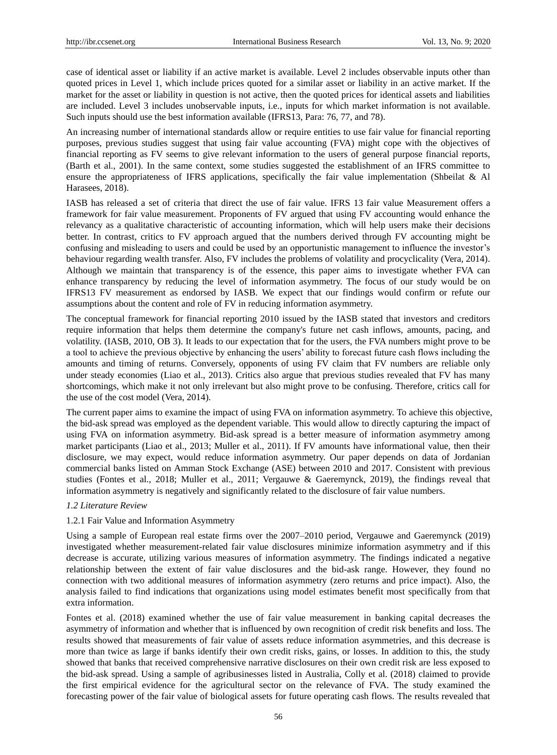case of identical asset or liability if an active market is available. Level 2 includes observable inputs other than quoted prices in Level 1, which include prices quoted for a similar asset or liability in an active market. If the market for the asset or liability in question is not active, then the quoted prices for identical assets and liabilities are included. Level 3 includes unobservable inputs, i.e., inputs for which market information is not available. Such inputs should use the best information available (IFRS13, Para: 76, 77, and 78).

An increasing number of international standards allow or require entities to use fair value for financial reporting purposes, previous studies suggest that using fair value accounting (FVA) might cope with the objectives of financial reporting as FV seems to give relevant information to the users of general purpose financial reports, (Barth et al., 2001). In the same context, some studies suggested the establishment of an IFRS committee to ensure the appropriateness of IFRS applications, specifically the fair value implementation (Shbeilat & Al Harasees, 2018).

IASB has released a set of criteria that direct the use of fair value. IFRS 13 fair value Measurement offers a framework for fair value measurement. Proponents of FV argued that using FV accounting would enhance the relevancy as a qualitative characteristic of accounting information, which will help users make their decisions better. In contrast, critics to FV approach argued that the numbers derived through FV accounting might be confusing and misleading to users and could be used by an opportunistic management to influence the investor's behaviour regarding wealth transfer. Also, FV includes the problems of volatility and procyclicality (Vera, 2014). Although we maintain that transparency is of the essence, this paper aims to investigate whether FVA can enhance transparency by reducing the level of information asymmetry. The focus of our study would be on IFRS13 FV measurement as endorsed by IASB. We expect that our findings would confirm or refute our assumptions about the content and role of FV in reducing information asymmetry.

The conceptual framework for financial reporting 2010 issued by the IASB stated that investors and creditors require information that helps them determine the company's future net cash inflows, amounts, pacing, and volatility. (IASB, 2010, OB 3). It leads to our expectation that for the users, the FVA numbers might prove to be a tool to achieve the previous objective by enhancing the users' ability to forecast future cash flows including the amounts and timing of returns. Conversely, opponents of using FV claim that FV numbers are reliable only under steady economies (Liao et al., 2013). Critics also argue that previous studies revealed that FV has many shortcomings, which make it not only irrelevant but also might prove to be confusing. Therefore, critics call for the use of the cost model (Vera, 2014).

The current paper aims to examine the impact of using FVA on information asymmetry. To achieve this objective, the bid-ask spread was employed as the dependent variable. This would allow to directly capturing the impact of using FVA on information asymmetry. Bid-ask spread is a better measure of information asymmetry among market participants (Liao et al., 2013; Muller et al., 2011). If FV amounts have informational value, then their disclosure, we may expect, would reduce information asymmetry. Our paper depends on data of Jordanian commercial banks listed on Amman Stock Exchange (ASE) between 2010 and 2017. Consistent with previous studies (Fontes et al., 2018; Muller et al., 2011; Vergauwe & Gaeremynck, 2019), the findings reveal that information asymmetry is negatively and significantly related to the disclosure of fair value numbers.

## *1.2 Literature Review*

# 1.2.1 Fair Value and Information Asymmetry

Using a sample of European real estate firms over the 2007–2010 period, Vergauwe and Gaeremynck (2019) investigated whether measurement-related fair value disclosures minimize information asymmetry and if this decrease is accurate, utilizing various measures of information asymmetry. The findings indicated a negative relationship between the extent of fair value disclosures and the bid-ask range. However, they found no connection with two additional measures of information asymmetry (zero returns and price impact). Also, the analysis failed to find indications that organizations using model estimates benefit most specifically from that extra information.

Fontes et al. (2018) examined whether the use of fair value measurement in banking capital decreases the asymmetry of information and whether that is influenced by own recognition of credit risk benefits and loss. The results showed that measurements of fair value of assets reduce information asymmetries, and this decrease is more than twice as large if banks identify their own credit risks, gains, or losses. In addition to this, the study showed that banks that received comprehensive narrative disclosures on their own credit risk are less exposed to the bid-ask spread. Using a sample of agribusinesses listed in Australia, Colly et al. (2018) claimed to provide the first empirical evidence for the agricultural sector on the relevance of FVA. The study examined the forecasting power of the fair value of biological assets for future operating cash flows. The results revealed that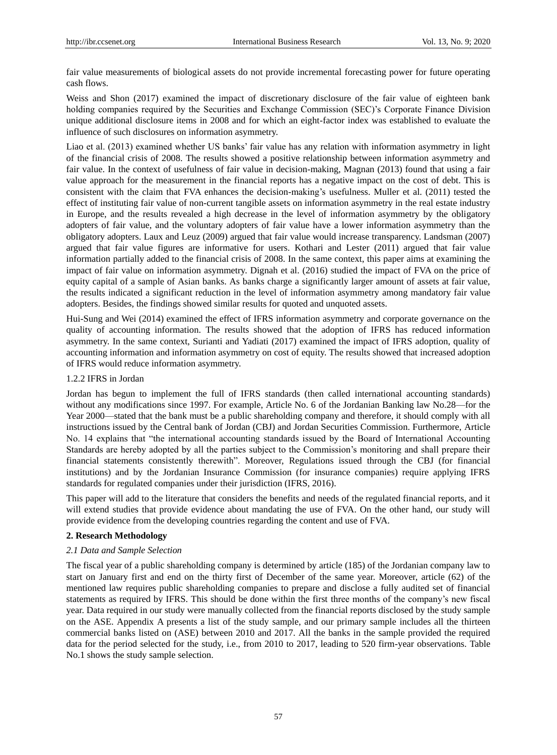fair value measurements of biological assets do not provide incremental forecasting power for future operating cash flows.

Weiss and Shon (2017) examined the impact of discretionary disclosure of the fair value of eighteen bank holding companies required by the Securities and Exchange Commission (SEC)'s Corporate Finance Division unique additional disclosure items in 2008 and for which an eight-factor index was established to evaluate the influence of such disclosures on information asymmetry.

Liao et al. (2013) examined whether US banks' fair value has any relation with information asymmetry in light of the financial crisis of 2008. The results showed a positive relationship between information asymmetry and fair value. In the context of usefulness of fair value in decision-making, Magnan (2013) found that using a fair value approach for the measurement in the financial reports has a negative impact on the cost of debt. This is consistent with the claim that FVA enhances the decision-making's usefulness. Muller et al. (2011) tested the effect of instituting fair value of non-current tangible assets on information asymmetry in the real estate industry in Europe, and the results revealed a high decrease in the level of information asymmetry by the obligatory adopters of fair value, and the voluntary adopters of fair value have a lower information asymmetry than the obligatory adopters. Laux and Leuz (2009) argued that fair value would increase transparency. Landsman (2007) argued that fair value figures are informative for users. Kothari and Lester (2011) argued that fair value information partially added to the financial crisis of 2008. In the same context, this paper aims at examining the impact of fair value on information asymmetry. Dignah et al. (2016) studied the impact of FVA on the price of equity capital of a sample of Asian banks. As banks charge a significantly larger amount of assets at fair value, the results indicated a significant reduction in the level of information asymmetry among mandatory fair value adopters. Besides, the findings showed similar results for quoted and unquoted assets.

Hui-Sung and Wei (2014) examined the effect of IFRS information asymmetry and corporate governance on the quality of accounting information. The results showed that the adoption of IFRS has reduced information asymmetry. In the same context, Surianti and Yadiati (2017) examined the impact of IFRS adoption, quality of accounting information and information asymmetry on cost of equity. The results showed that increased adoption of IFRS would reduce information asymmetry.

## 1.2.2 IFRS in Jordan

Jordan has begun to implement the full of IFRS standards (then called international accounting standards) without any modifications since 1997. For example, Article No. 6 of the Jordanian Banking law No.28—for the Year 2000—stated that the bank must be a public shareholding company and therefore, it should comply with all instructions issued by the Central bank of Jordan (CBJ) and Jordan Securities Commission. Furthermore, Article No. 14 explains that "the international accounting standards issued by the Board of International Accounting Standards are hereby adopted by all the parties subject to the Commission's monitoring and shall prepare their financial statements consistently therewith‖. Moreover, Regulations issued through the CBJ (for financial institutions) and by the Jordanian Insurance Commission (for insurance companies) require applying IFRS standards for regulated companies under their jurisdiction (IFRS, 2016).

This paper will add to the literature that considers the benefits and needs of the regulated financial reports, and it will extend studies that provide evidence about mandating the use of FVA. On the other hand, our study will provide evidence from the developing countries regarding the content and use of FVA.

## **2. Research Methodology**

#### *2.1 Data and Sample Selection*

The fiscal year of a public shareholding company is determined by article (185) of the Jordanian company law to start on January first and end on the thirty first of December of the same year. Moreover, article (62) of the mentioned law requires public shareholding companies to prepare and disclose a fully audited set of financial statements as required by IFRS. This should be done within the first three months of the company's new fiscal year. Data required in our study were manually collected from the financial reports disclosed by the study sample on the ASE. Appendix A presents a list of the study sample, and our primary sample includes all the thirteen commercial banks listed on (ASE) between 2010 and 2017. All the banks in the sample provided the required data for the period selected for the study, i.e., from 2010 to 2017, leading to 520 firm-year observations. Table No.1 shows the study sample selection.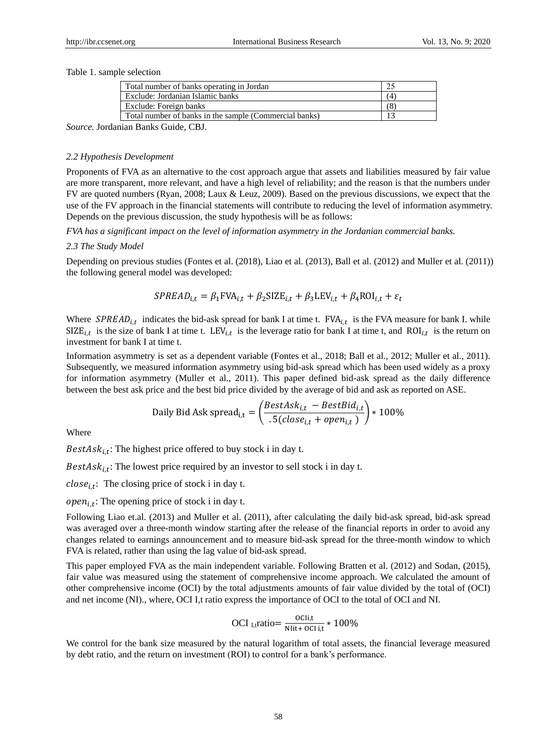#### Table 1. sample selection

| Total number of banks operating in Jordan               |     |
|---------------------------------------------------------|-----|
| Exclude: Jordanian Islamic banks                        | (4) |
| Exclude: Foreign banks                                  | 68  |
| Total number of banks in the sample (Commercial banks)  |     |
| $\sim$ $\sim$ $\sim$ $\sim$ $\sim$ $\sim$ $\sim$ $\sim$ |     |

*Source.* Jordanian Banks Guide, CBJ.

#### *2.2 Hypothesis Development*

Proponents of FVA as an alternative to the cost approach argue that assets and liabilities measured by fair value are more transparent, more relevant, and have a high level of reliability; and the reason is that the numbers under FV are quoted numbers (Ryan, 2008; Laux & Leuz, 2009). Based on the previous discussions, we expect that the use of the FV approach in the financial statements will contribute to reducing the level of information asymmetry. Depends on the previous discussion, the study hypothesis will be as follows:

*FVA has a significant impact on the level of information asymmetry in the Jordanian commercial banks.*

#### *2.3 The Study Model*

Depending on previous studies (Fontes et al. (2018), Liao et al. (2013), Ball et al. (2012) and Muller et al. (2011)) the following general model was developed:

$$
SPREAD_{i,t} = \beta_1 FVA_{i,t} + \beta_2 SIZE_{i,t} + \beta_3 LEV_{i,t} + \beta_4 ROI_{i,t} + \varepsilon_t
$$

Where  $SPREAD_{i,t}$  indicates the bid-ask spread for bank I at time t.  $FVA_{i,t}$  is the FVA measure for bank I. while  $SIZE_{i,t}$  is the size of bank I at time t.  $LEV_{i,t}$  is the leverage ratio for bank I at time t, and  $ROI_{i,t}$  is the return on investment for bank I at time t.

Information asymmetry is set as a dependent variable (Fontes et al., 2018; Ball et al., 2012; Muller et al., 2011). Subsequently, we measured information asymmetry using bid-ask spread which has been used widely as a proxy for information asymmetry (Muller et al., 2011). This paper defined bid-ask spread as the daily difference between the best ask price and the best bid price divided by the average of bid and ask as reported on ASE.

Daily Bid Ask spread<sub>i,t</sub> = 
$$
\left(\frac{BestAsk_{i,t} - BestBid_{i,t}}{.5(close_{i,t} + open_{i,t})}\right) * 100\%
$$

Where

 $BestAsk_{i,t}$ : The highest price offered to buy stock i in day t.

BestAs $k_{i,t}$ : The lowest price required by an investor to sell stock i in day t.

 $close_{i,t}$ : The closing price of stock i in day t.

 $open_{i,t}$ : The opening price of stock i in day t.

Following Liao et.al. (2013) and Muller et al. (2011), after calculating the daily bid-ask spread, bid-ask spread was averaged over a three-month window starting after the release of the financial reports in order to avoid any changes related to earnings announcement and to measure bid-ask spread for the three-month window to which FVA is related, rather than using the lag value of bid-ask spread.

This paper employed FVA as the main independent variable. Following Bratten et al. (2012) and Sodan, (2015), fair value was measured using the statement of comprehensive income approach. We calculated the amount of other comprehensive income (OCI) by the total adjustments amounts of fair value divided by the total of (OCI) and net income (NI)., where, OCI I,t ratio express the importance of OCI to the total of OCI and NI.

$$
OCI_{I,t} ratio = \frac{OCIi, t}{NIit + OCIi, t} * 100\%
$$

We control for the bank size measured by the natural logarithm of total assets, the financial leverage measured by debt ratio, and the return on investment (ROI) to control for a bank's performance.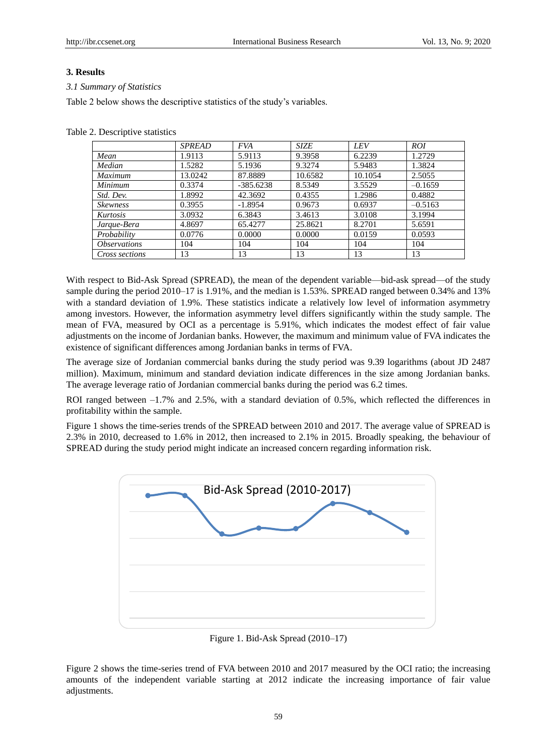# **3. Results**

# *3.1 Summary of Statistics*

Table 2 below shows the descriptive statistics of the study's variables.

Table 2. Descriptive statistics

|                            | <b>SPREAD</b> | <b>FVA</b>  | SIZE    | <b>LEV</b> | <i>ROI</i> |
|----------------------------|---------------|-------------|---------|------------|------------|
| Mean                       | 1.9113        | 5.9113      | 9.3958  | 6.2239     | 1.2729     |
| Median                     | 1.5282        | 5.1936      | 9.3274  | 5.9483     | 1.3824     |
| Maximum                    | 13.0242       | 87.8889     | 10.6582 | 10.1054    | 2.5055     |
| <b>Minimum</b>             | 0.3374        | $-385.6238$ | 8.5349  | 3.5529     | $-0.1659$  |
| Std. Dev.                  | 1.8992        | 42.3692     | 0.4355  | 1.2986     | 0.4882     |
| <b>Skewness</b>            | 0.3955        | $-1.8954$   | 0.9673  | 0.6937     | $-0.5163$  |
| Kurtosis                   | 3.0932        | 6.3843      | 3.4613  | 3.0108     | 3.1994     |
| Jarque-Bera                | 4.8697        | 65.4277     | 25.8621 | 8.2701     | 5.6591     |
| Probability                | 0.0776        | 0.0000      | 0.0000  | 0.0159     | 0.0593     |
| <i><b>Observations</b></i> | 104           | 104         | 104     | 104        | 104        |
| Cross sections             | 13            | 13          | 13      | 13         | 13         |

With respect to Bid-Ask Spread (SPREAD), the mean of the dependent variable—bid-ask spread—of the study sample during the period 2010–17 is 1.91%, and the median is 1.53%. SPREAD ranged between 0.34% and 13% with a standard deviation of 1.9%. These statistics indicate a relatively low level of information asymmetry among investors. However, the information asymmetry level differs significantly within the study sample. The mean of FVA, measured by OCI as a percentage is 5.91%, which indicates the modest effect of fair value adjustments on the income of Jordanian banks. However, the maximum and minimum value of FVA indicates the existence of significant differences among Jordanian banks in terms of FVA.

The average size of Jordanian commercial banks during the study period was 9.39 logarithms (about JD 2487 million). Maximum, minimum and standard deviation indicate differences in the size among Jordanian banks. The average leverage ratio of Jordanian commercial banks during the period was 6.2 times.

ROI ranged between  $-1.7\%$  and 2.5%, with a standard deviation of 0.5%, which reflected the differences in profitability within the sample.

Figure 1 shows the time-series trends of the SPREAD between 2010 and 2017. The average value of SPREAD is 2.3% in 2010, decreased to 1.6% in 2012, then increased to 2.1% in 2015. Broadly speaking, the behaviour of SPREAD during the study period might indicate an increased concern regarding information risk.



Figure 1. Bid-Ask Spread (2010–17)

Figure 2 shows the time-series trend of FVA between 2010 and 2017 measured by the OCI ratio; the increasing amounts of the independent variable starting at 2012 indicate the increasing importance of fair value adjustments.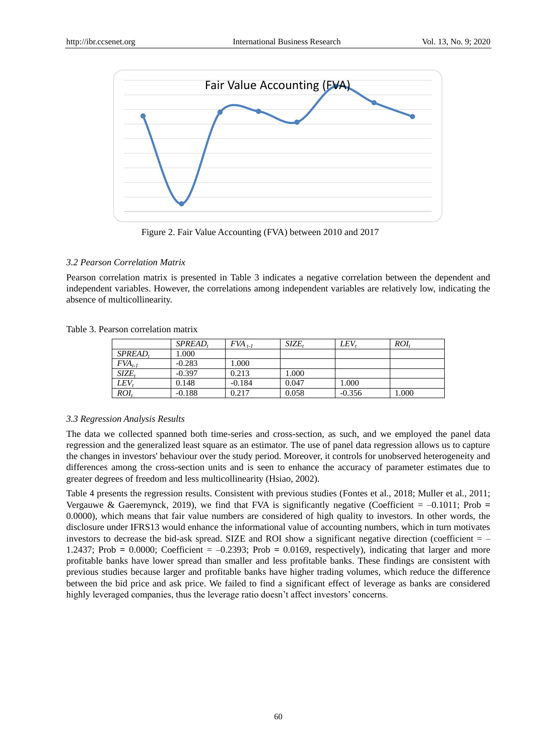

Figure 2. Fair Value Accounting (FVA) between 2010 and 2017

# *3.2 Pearson Correlation Matrix*

Pearson correlation matrix is presented in Table 3 indicates a negative correlation between the dependent and independent variables. However, the correlations among independent variables are relatively low, indicating the absence of multicollinearity.

|  |  | Table 3. Pearson correlation matrix |  |
|--|--|-------------------------------------|--|
|--|--|-------------------------------------|--|

|                  | SPREAD.  | $FVA$ <sub>t-1</sub> | SIZE. | LEV.     | ROI.  |
|------------------|----------|----------------------|-------|----------|-------|
| SPREAD.          | 1.000    |                      |       |          |       |
| $FVA_{t-1}$      | $-0.283$ | 1.000                |       |          |       |
| $SIZE_t$         | $-0.397$ | 0.213                | 1.000 |          |       |
| LEV              | 0.148    | $-0.184$             | 0.047 | 1.000    |       |
| $R\overline{OI}$ | $-0.188$ | 0.217                | 0.058 | $-0.356$ | 1.000 |

# *3.3 Regression Analysis Results*

The data we collected spanned both time-series and cross-section, as such, and we employed the panel data regression and the generalized least square as an estimator. The use of panel data regression allows us to capture the changes in investors' behaviour over the study period. Moreover, it controls for unobserved heterogeneity and differences among the cross-section units and is seen to enhance the accuracy of parameter estimates due to greater degrees of freedom and less multicollinearity (Hsiao, 2002).

Table 4 presents the regression results. Consistent with previous studies (Fontes et al., 2018; Muller et al., 2011; Vergauwe & Gaeremynck, 2019), we find that FVA is significantly negative (Coefficient  $= -0.1011$ ; Prob  $=$ 0.0000), which means that fair value numbers are considered of high quality to investors. In other words, the disclosure under IFRS13 would enhance the informational value of accounting numbers, which in turn motivates investors to decrease the bid-ask spread. SIZE and ROI show a significant negative direction (coefficient  $=$   $-$ 1.2437; Prob **=** 0.0000; Coefficient = –0.2393; Prob **=** 0.0169, respectively), indicating that larger and more profitable banks have lower spread than smaller and less profitable banks. These findings are consistent with previous studies because larger and profitable banks have higher trading volumes, which reduce the difference between the bid price and ask price. We failed to find a significant effect of leverage as banks are considered highly leveraged companies, thus the leverage ratio doesn't affect investors' concerns.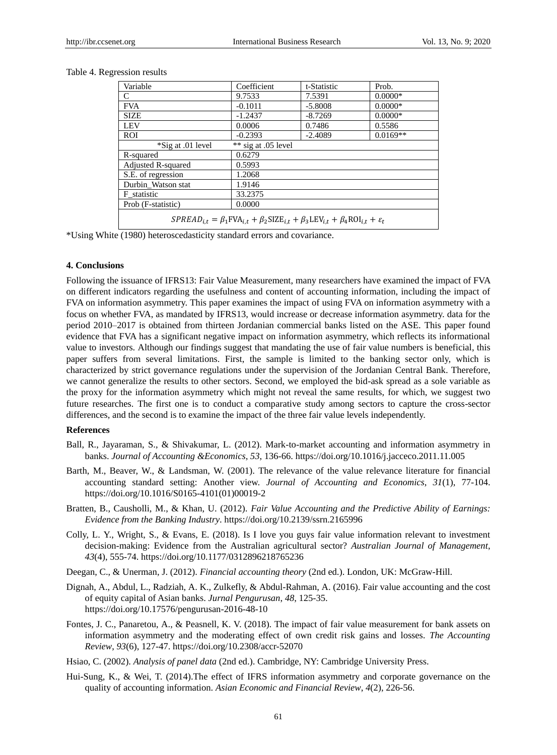| Variable                                                                                                        | Coefficient           | t-Statistic | Prob.      |  |  |
|-----------------------------------------------------------------------------------------------------------------|-----------------------|-------------|------------|--|--|
| C                                                                                                               | 9.7533                | 7.5391      | $0.0000*$  |  |  |
| <b>FVA</b>                                                                                                      | $-0.1011$             | $-5.8008$   | $0.0000*$  |  |  |
| <b>SIZE</b>                                                                                                     | $-1.2437$             | $-8.7269$   | $0.0000*$  |  |  |
| <b>LEV</b>                                                                                                      | 0.0006                | 0.7486      | 0.5586     |  |  |
| ROI                                                                                                             | $-0.2393$             | $-2.4089$   | $0.0169**$ |  |  |
| *Sig at .01 level                                                                                               | ** sig at $.05$ level |             |            |  |  |
| R-squared                                                                                                       | 0.6279                |             |            |  |  |
| <b>Adjusted R-squared</b>                                                                                       | 0.5993                |             |            |  |  |
| S.E. of regression                                                                                              | 1.2068                |             |            |  |  |
| Durbin Watson stat                                                                                              | 1.9146                |             |            |  |  |
| F statistic                                                                                                     | 33.2375               |             |            |  |  |
| Prob (F-statistic)                                                                                              | 0.0000                |             |            |  |  |
| $SPREAD_{i,t} = \beta_1 FVA_{i,t} + \beta_2 SIZE_{i,t} + \beta_3 LEV_{i,t} + \beta_4 ROI_{i,t} + \varepsilon_t$ |                       |             |            |  |  |

#### Table 4. Regression results

\*Using White (1980) heteroscedasticity standard errors and covariance.

# **4. Conclusions**

Following the issuance of IFRS13: Fair Value Measurement, many researchers have examined the impact of FVA on different indicators regarding the usefulness and content of accounting information, including the impact of FVA on information asymmetry. This paper examines the impact of using FVA on information asymmetry with a focus on whether FVA, as mandated by IFRS13, would increase or decrease information asymmetry. data for the period 2010–2017 is obtained from thirteen Jordanian commercial banks listed on the ASE. This paper found evidence that FVA has a significant negative impact on information asymmetry, which reflects its informational value to investors. Although our findings suggest that mandating the use of fair value numbers is beneficial, this paper suffers from several limitations. First, the sample is limited to the banking sector only, which is characterized by strict governance regulations under the supervision of the Jordanian Central Bank. Therefore, we cannot generalize the results to other sectors. Second, we employed the bid-ask spread as a sole variable as the proxy for the information asymmetry which might not reveal the same results, for which, we suggest two future researches. The first one is to conduct a comparative study among sectors to capture the cross-sector differences, and the second is to examine the impact of the three fair value levels independently.

#### **References**

- Ball, R., Jayaraman, S., & Shivakumar, L. (2012). Mark-to-market accounting and information asymmetry in banks. *Journal of Accounting &Economics*, *53*, 136-66. https://doi.org/10.1016/j.jacceco.2011.11.005
- Barth, M., Beaver, W., & Landsman, W. (2001). The relevance of the value relevance literature for financial accounting standard setting: Another view. *Journal of Accounting and Economics*, *31*(1), 77-104. https://doi.org/10.1016/S0165-4101(01)00019-2
- Bratten, B., Causholli, M., & Khan, U. (2012). *Fair Value Accounting and the Predictive Ability of Earnings: Evidence from the Banking Industry*. https://doi.org/10.2139/ssrn.2165996
- Colly, L. Y., Wright, S., & Evans, E. (2018). Is I love you guys fair value information relevant to investment decision-making: Evidence from the Australian agricultural sector? *Australian Journal of Management*, *43*(4), 555-74. https://doi.org/10.1177/0312896218765236
- Deegan, C., & Unerman, J. (2012). *Financial accounting theory* (2nd ed.). London, UK: McGraw-Hill.
- Dignah, A., Abdul, L., Radziah, A. K., Zulkefly, & Abdul-Rahman, A. (2016). Fair value accounting and the cost of equity capital of Asian banks. *Jurnal Pengurusan*, *48*, 125-35. https://doi.org/10.17576/pengurusan-2016-48-10
- Fontes, J. C., Panaretou, A., & Peasnell, K. V. (2018). The impact of fair value measurement for bank assets on information asymmetry and the moderating effect of own credit risk gains and losses. *The Accounting Review*, *93*(6), 127-47. https://doi.org/10.2308/accr-52070
- Hsiao, C. (2002). *Analysis of panel data* (2nd ed.). Cambridge, NY: Cambridge University Press.
- Hui-Sung, K., & Wei, T. (2014).The effect of IFRS information asymmetry and corporate governance on the quality of accounting information. *Asian Economic and Financial Review*, *4*(2), 226-56.